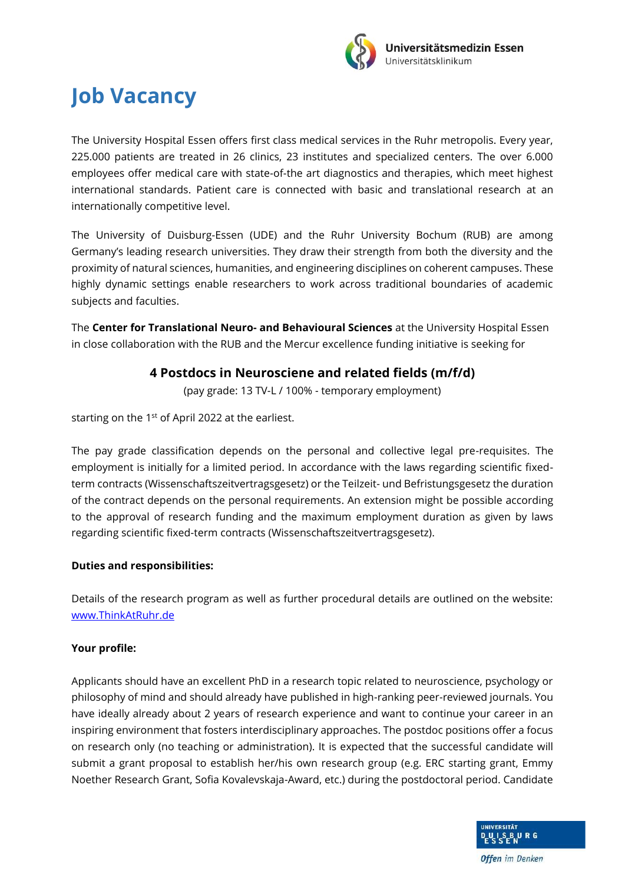

## **Job Vacancy**

The University Hospital Essen offers first class medical services in the Ruhr metropolis. Every year, 225.000 patients are treated in 26 clinics, 23 institutes and specialized centers. The over 6.000 employees offer medical care with state-of-the art diagnostics and therapies, which meet highest international standards. Patient care is connected with basic and translational research at an internationally competitive level.

The University of Duisburg-Essen (UDE) and the Ruhr University Bochum (RUB) are among Germany's leading research universities. They draw their strength from both the diversity and the proximity of natural sciences, humanities, and engineering disciplines on coherent campuses. These highly dynamic settings enable researchers to work across traditional boundaries of academic subjects and faculties.

The **Center for Translational Neuro- and Behavioural Sciences** at the University Hospital Essen in close collaboration with the RUB and the Mercur excellence funding initiative is seeking for

## **4 Postdocs in Neurosciene and related fields (m/f/d)**

(pay grade: 13 TV-L / 100% - temporary employment)

starting on the 1<sup>st</sup> of April 2022 at the earliest.

The pay grade classification depends on the personal and collective legal pre-requisites. The employment is initially for a limited period. In accordance with the laws regarding scientific fixedterm contracts (Wissenschaftszeitvertragsgesetz) or the Teilzeit- und Befristungsgesetz the duration of the contract depends on the personal requirements. An extension might be possible according to the approval of research funding and the maximum employment duration as given by laws regarding scientific fixed-term contracts (Wissenschaftszeitvertragsgesetz).

## **Duties and responsibilities:**

Details of the research program as well as further procedural details are outlined on the website: [www.ThinkAtRuhr.de](http://www.thinkatruhr.de/)

## **Your profile:**

Applicants should have an excellent PhD in a research topic related to neuroscience, psychology or philosophy of mind and should already have published in high-ranking peer-reviewed journals. You have ideally already about 2 years of research experience and want to continue your career in an inspiring environment that fosters interdisciplinary approaches. The postdoc positions offer a focus on research only (no teaching or administration). It is expected that the successful candidate will submit a grant proposal to establish her/his own research group (e.g. ERC starting grant, Emmy Noether Research Grant, Sofia Kovalevskaja-Award, etc.) during the postdoctoral period. Candidate